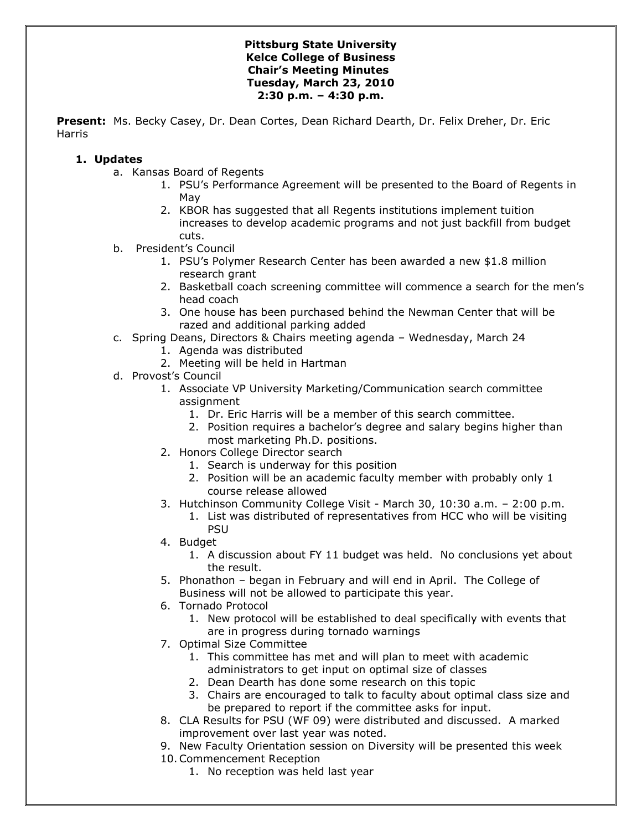### **Pittsburg State University Kelce College of Business Chair's Meeting Minutes Tuesday, March 23, 2010 2:30 p.m. – 4:30 p.m.**

**Present:** Ms. Becky Casey, Dr. Dean Cortes, Dean Richard Dearth, Dr. Felix Dreher, Dr. Eric Harris

## **1. Updates**

- a. Kansas Board of Regents
	- 1. PSU's Performance Agreement will be presented to the Board of Regents in May
	- 2. KBOR has suggested that all Regents institutions implement tuition increases to develop academic programs and not just backfill from budget cuts.
- b. President's Council
	- 1. PSU's Polymer Research Center has been awarded a new \$1.8 million research grant
	- 2. Basketball coach screening committee will commence a search for the men's head coach
	- 3. One house has been purchased behind the Newman Center that will be razed and additional parking added
- c. Spring Deans, Directors & Chairs meeting agenda Wednesday, March 24
	- 1. Agenda was distributed
	- 2. Meeting will be held in Hartman
- d. Provost's Council
	- 1. Associate VP University Marketing/Communication search committee assignment
		- 1. Dr. Eric Harris will be a member of this search committee.
		- 2. Position requires a bachelor's degree and salary begins higher than most marketing Ph.D. positions.
	- 2. Honors College Director search
		- 1. Search is underway for this position
		- 2. Position will be an academic faculty member with probably only 1 course release allowed
	- 3. Hutchinson Community College Visit March 30, 10:30 a.m. 2:00 p.m.
		- 1. List was distributed of representatives from HCC who will be visiting PSU
	- 4. Budget
		- 1. A discussion about FY 11 budget was held. No conclusions yet about the result.
	- 5. Phonathon began in February and will end in April. The College of Business will not be allowed to participate this year.
	- 6. Tornado Protocol
		- 1. New protocol will be established to deal specifically with events that are in progress during tornado warnings
	- 7. Optimal Size Committee
		- 1. This committee has met and will plan to meet with academic administrators to get input on optimal size of classes
		- 2. Dean Dearth has done some research on this topic
		- 3. Chairs are encouraged to talk to faculty about optimal class size and be prepared to report if the committee asks for input.
	- 8. CLA Results for PSU (WF 09) were distributed and discussed. A marked improvement over last year was noted.
	- 9. New Faculty Orientation session on Diversity will be presented this week 10.Commencement Reception
		- 1. No reception was held last year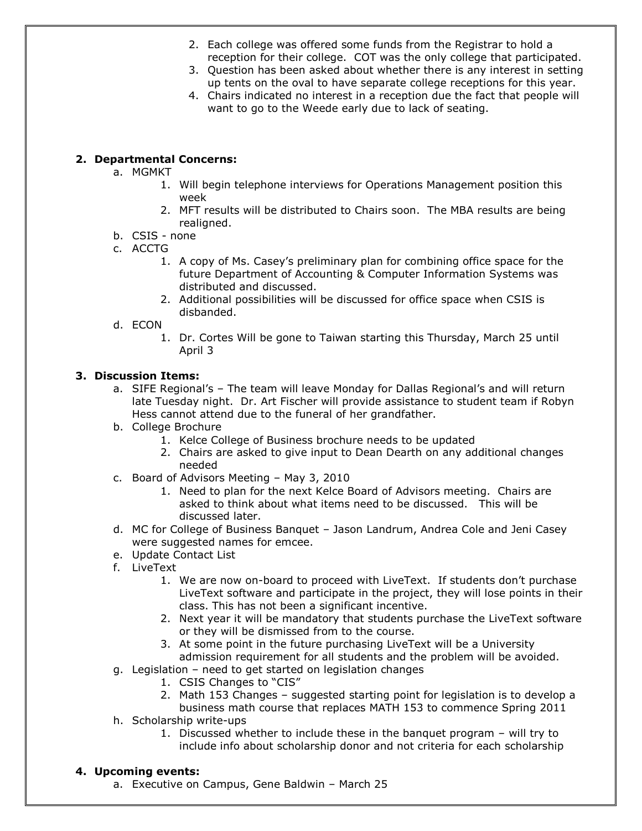- 2. Each college was offered some funds from the Registrar to hold a reception for their college. COT was the only college that participated.
- 3. Question has been asked about whether there is any interest in setting up tents on the oval to have separate college receptions for this year.
- 4. Chairs indicated no interest in a reception due the fact that people will want to go to the Weede early due to lack of seating.

# **2. Departmental Concerns:**

- a. MGMKT
	- 1. Will begin telephone interviews for Operations Management position this week
	- 2. MFT results will be distributed to Chairs soon. The MBA results are being realigned.
- b. CSIS none
- c. ACCTG
	- 1. A copy of Ms. Casey's preliminary plan for combining office space for the future Department of Accounting & Computer Information Systems was distributed and discussed.
	- 2. Additional possibilities will be discussed for office space when CSIS is disbanded.
- d. ECON
	- 1. Dr. Cortes Will be gone to Taiwan starting this Thursday, March 25 until April 3

## **3. Discussion Items:**

- a. SIFE Regional's The team will leave Monday for Dallas Regional's and will return late Tuesday night. Dr. Art Fischer will provide assistance to student team if Robyn Hess cannot attend due to the funeral of her grandfather.
- b. College Brochure
	- 1. Kelce College of Business brochure needs to be updated
	- 2. Chairs are asked to give input to Dean Dearth on any additional changes needed
- c. Board of Advisors Meeting May 3, 2010
	- 1. Need to plan for the next Kelce Board of Advisors meeting. Chairs are asked to think about what items need to be discussed. This will be discussed later.
- d. MC for College of Business Banquet Jason Landrum, Andrea Cole and Jeni Casey were suggested names for emcee.
- e. Update Contact List
- f. LiveText
	- 1. We are now on-board to proceed with LiveText. If students don't purchase LiveText software and participate in the project, they will lose points in their class. This has not been a significant incentive.
	- 2. Next year it will be mandatory that students purchase the LiveText software or they will be dismissed from to the course.
	- 3. At some point in the future purchasing LiveText will be a University admission requirement for all students and the problem will be avoided.
- g. Legislation need to get started on legislation changes
	- 1. CSIS Changes to "CIS"
	- 2. Math 153 Changes suggested starting point for legislation is to develop a
	- business math course that replaces MATH 153 to commence Spring 2011
- h. Scholarship write-ups
	- 1. Discussed whether to include these in the banquet program will try to include info about scholarship donor and not criteria for each scholarship

### **4. Upcoming events:**

a. Executive on Campus, Gene Baldwin – March 25